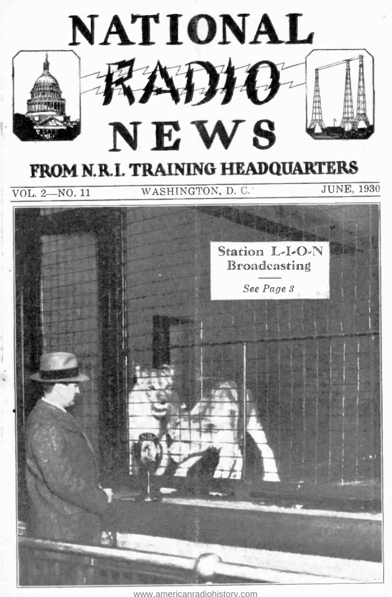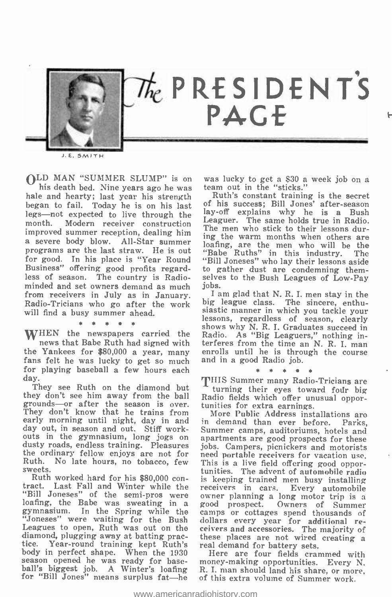

E. SMITH

OLD MAN "SUMMER SLUMP" is on was lucky to get a \$30 a week job on a<br>his death bed. Nine years ago he was team out in the "sticks."<br>hale and hearty; last year his strength began to fail. Today he is on his last of his succe legs—not expected to live through the<br>month. Modern receiver construction Modern receiver construction improved summer reception, dealing him a severe body blow. All-Star summer programs are the last straw. He is out for good. In his place is "Year Round<br>Business" offering good profits regardless of season. The country is Radio- selve minded and set owners demand as much jobs. from receivers in July as in January. Radio -Tricians who go after the work will find a busy summer ahead.

#### \* \*

fans felt he was lucky to get so much for playing baseball a few hours each day.

they don't see him away from the ball Radio fields which offer un<br>grounds—or after the season is over. tunities for extra earnings. grounds or after the season is over. Their search extra earnings.<br>They don't know that he trains from More Public Address installations are early morning until night, day in and day out, in season and out. Stiff work-<br>outs in the gymnasium, long jogs on day out, in season and out. Stiff work-<br>outs in the gymnasium, long jogs on apartments are good prospects for these<br>dusty roads, endless training. Pleasures jobs. Campers, picnickers and motorists the ordinary fellow enjoys are not for sweets.

Ruth worked hard for his \$80,000 con-<br>tract. Last Fall and Winter while the rec "Bill Joneses" of the semi-pros were own "Bill Joneses" of the semi-pros were owner planning a long motor trip is a<br>loafing, the Babe was sweating in a good prospect. Owners of Summer<br>gymnasium. In the Spring while the camps or cottages spend thousands of "Joneses" were waiting for the Bush Leagues to open, Ruth was out on the diamond, plugging away at batting prac-<br>tice. Year-round training kept Ruth's real demand for battery sets.<br>body in perfect shape. When the 1930 Here are four fields cran body in perfect shape. When the 1930 season opened he was ready for baseball's biggest job. A Winter's loafing R.I.

was lucky to get a \$30 a week job on a

Ruth's constant training is the secret of his success; Bill Jones' after-season Leaguer. The same holds true in Radio. The men who stick to their lessons during the warm months when others are loafing, are the men who will be the "Babe Ruths" in this industry. "Bill Joneses" who lay their lessons aside to gather dust are condemning themselves to the Bush Leagues of Low-Pay

WHEN the newspapers carried the Radio. As "Big Leaguers," nothing in-<br>news that Babe Ruth had signed with terferes from the time an N.R. I, man<br>the Yankees for \$80,000 a year, many enrolls until he is through the course I am glad that N. R. I. men stay in the big league class. The sincere, enthusiastic manner in which you tackle your lessons, regardless of season, clearly Radio. As "Big Leaguers," nothing inenrolls until he is through the course and in a good Radio job.

#### \* \* \* \*

They see Ruth on the diamond but <sup>"</sup> turning their eyes toward four big THIS Summer many Radio-Tricians are Radio fields which offer unusual oppor-

Ruth. No late hours, no tobacco, few This is a live field offering good oppor-<br>sweets. The advent of automobile radio in demand than ever before. Parks, apartments are good prospects for these jobs. Campers, picnickers and motorists need portable receivers for vacation use. is keeping trained men busy installing receivers in cars. Every automobile owner planning a long motor trip is a good prospect. Owners of Summer camps or cottages spend thousands of dollars every year for additional receivers and accessories. The majority of these places are not wired creating a

> Here are four fields crammed with money-making opportunities. Every N. R. I. man should land his share, or more, of this extra volume of Summer work.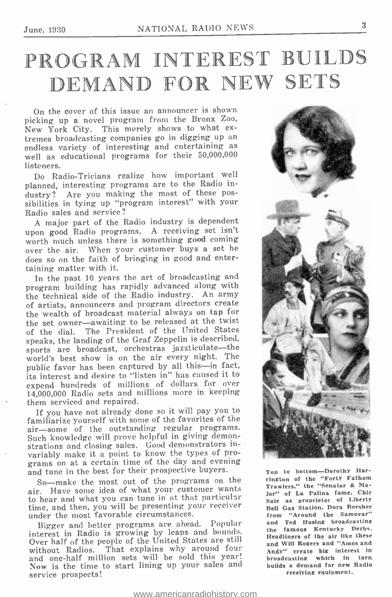## PROGRAM INTEREST BUILDS DEMAND FOR NEW SETS

On the cover of this issue an announcer is shown picking up a novel program from the Bronx Zoo, tremes broadcasting companies go in digging up an endless variety of interesting and entertaining as well as educational programs for their 50,000,000 listeners.

Do Radio -Tricians realize how important well planned, interesting programs are to the Radio in-<br>dustry? Are you making the most of these pos-Are you making the most of these possibilities in tying up "program interest" with your Radio sales and service?

A major part of the Radio industry is dependent upon good Radio programs. A receiving set isn't<br>worth much unless there is something good coming over the air. When your customer buys a set he does so on the faith of bringing in good and entertaining matter with it.

In the past 10 years the art of broadcasting and program building has rapidly advanced along with the technical side of the Radio industry. An army of artists, announcers and program directors create the wealth of broadcast material always on tap for the set owner-awaiting to be released at the twist of the dial. The President of the United States speaks, the landing of the Graf Zeppelin is described, sports are broadcast, orchestras jazzticulate-the world's best show is on the air every night. The public favor has been captured by all this-in fact, its interest and desire to "listen in" has caused it to expend hundreds of millions of dollars for over 14,000,000 Radio sets and millions more in keeping them serviced and repaired.

If you have not already done so it will pay you to familiarize yourself with some of the favorites of the air-some of the outstanding regular programs. Such knowledge will prove helpful in giving demonstrations and closing sales. Good demonstrators invariably make it a point to know the types of programs on at a certain time of the day and evening and tune in the best for their prospective buyers.

So-make the most out of the programs on the air. Have some idea of what your customer wants to hear and what you can tune in at that particular time, and then, you will be presenting your receiver under the most favorable circumstances.

Bigger and better programs are ahead. Popular interest in Radio is growing by leaps and bounds. Over half of the people of the United States are still without Radios. That explains why around four and one -half million sets will be sold this year! Now is the time to start lining up your sales and service prospects!



Top to bottom-Dorothy Harrington of the "Forty Fathom Trawlers." the "Senator & Major" of La Palina fame. Chic Sale as proprietor of Liberty Bell Gas Station. Dora Roesher from "Around the Samovar" and Ted Husing broadcasting the famous Kentucky Derby. Headliners of the air like these and Will Rogers and "Amos and Andy" create big interest in broadcasting which in turn builds a demand for new Radio receiving equipment.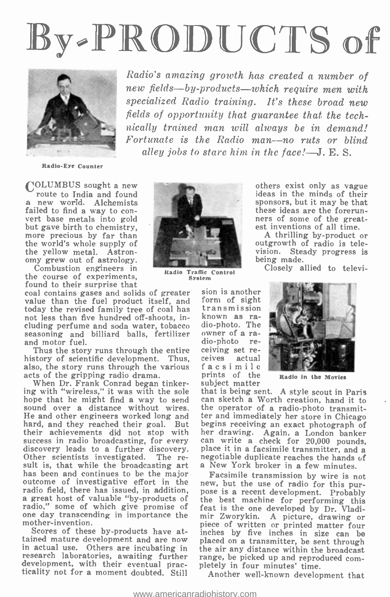# By-PRODUCTS of



Radio's amazing growth has created a number of new fields-by-products-which require men with specialized Radio training. It's these broad new fields of opportunity that quarantee that the technically trained man will always be in demand!  $\textit{Fortunately}$  is the Radio man--no ruts or blind alley jobs to stare him in the face! $-J.E.S.$ 

Radio -Eye Counter

COLUMBUS sought a new route to India and found a new world. Alchemists<br>failed to find a way to convert base metals into gold but gave birth to chemistry, more precious by far than the world's whole supply of the yellow metal. Astronomy grew out of astrology.

Combustion engineers in the course of experiments, found to their surprise that

coal contains gases and solids of greater sion is another<br>value than the fuel product itself, and form of sight<br>today the revised family tree of coal has transmission today the revised family tree of coal has not less than five hundred off -shoots, including perfume and soda water, tobacco dio-photo. The seasoning and billiard balls, fertilizer own and motor fuel.

Thus the story runs through the entire eeiving<br>story of scientific development. Thus, eeives history of scientific development. Thus, also, the story runs through the various

acts of the gripping radio drama. When Dr. Frank Conrad began tinkering with "wireless," it was with the sole hope that he might find a way to send can sketch a Worth creation, hand it to sound over a distance without wires. He and other engineers worked long and ter and immediately her store in Chicago hard, and they reached their goal. But begins receiving an exact photograph of hard, and they reached their goal. But begins receiving an exact photograph of their achievements did not stop with her drawing. Again, a London banker success in radio broadcasting, for every discovery leads to a further discovery.<br>Other scientists investigated. The re-Other scientists investigated. The re- negotiable duplicate reaches the hands of sult is, that while the broadcasting art a New York broker in a few minutes. has been and continues to be the major outcome of investigative effort in the nev radio field, there has issued, in addition, pose is a recent development. Probably a great host of valuable "by-products of the best machine for performing this radio," some of which give promise of feat is the one developed by Dr. Vladione day transcending in importance the mir Zworykin. A nicture, drawing or mother-invention.

Scores of these by-products have at-<br>tained mature development and are now in actual use. Others are incubating in the air any distance within the broadcast research laboratories, awaiting further range, be picked up and reproduced by development, with their eventual prac-<br>pletely in four minutes' time. ticality not for a moment doubted. Still



Radio Traffic Control System

sion is another form of sight known as raowner of a radio -photo receiving set refacsimile prints of the subject matter

others exist only as vague ideas in the minds of their sponsors, but it may be that these ideas are the forerunners of some of the great- est inventions of all time. A thrilling by- product or

outgrowth of radio is television. Steady progress is being made.

Closely allied to televi-



Radio in the Movies

that is being sent. A style scout in Paris the operator of a radio -photo transmitter and immediately her store in Chicago can write a check for 20,000 pounds, place it in a facsimile transmitter, and a

Facsimile transmission by wire is not new, but the use of radio for this purpose is a recent development. Probably mir Zworykin. A picture, drawing or piece of written or printed matter four inches by five inches in size can be placed on a transmitter, be sent through the air any distance within the broadcast range, be picked up and reproduced com-

Another well-known development that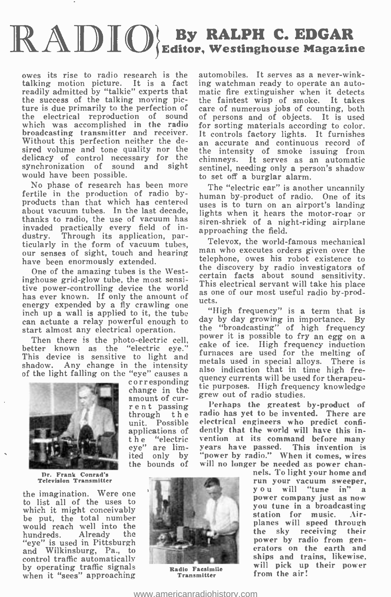## $\mathbb{R}\mathbb{A}\mathbb{D}\mathbb{I}\mathbb{O}$  Editor, We RALPH C. EDGAR , Westinghouse Magazine

owes its rise to radio research is the talking motion picture. It is a fact ing readily admitted by "talkie" experts that the success of the talking moving pic-ture is due primarily to the perfection of the electrical reproduction of sound which was accomplished in the radio for broadcasting transmitter and receiver. It controls factory lights. It furnishes Without this perfection neither the desired volume and tone quality nor the delicacy of control necessary for the synchronization of sound and sight would have been possible.

No phase of research has been more fertile in the production of radio byfertile in the production of radio by-<br>product of radio. One of its<br>products than that which has centered uses is to turn on an airport's landing about vacuum tubes. In the last decade, lights when it hears the motor-roar or thanks to radio, the use of vacuum has  $\frac{ng_1}{sire}$ invaded practically every field of inmvaded practically every neld of in-<br>dustry. Through its application, par-<br>ticularly in the form of vacuum tubes, Televox, the world-famous mechanical our senses of sight, touch and hearing have been enormously extended.

One of the amazing tubes is the Westinghouse grid -glow tube, the most sensi-Inghouse grid-glow tube, the most sensi-<br>tive power-controlling device the world<br>as one of our most useful radio by-prodhas ever known. If only the amount of energy expended by a fly crawling one inch up a wall is applied to it, the tube  $\frac{m}{n}$  thigh frequency" is a term that is can actuate a relay nowerful enough to day by day growing in importance. By can actuate a relay powerful enough to start almost any electrical operation.

Then there is the photo-electric cell, better known as the "electric eye." This device is sensitive to light and shadow. Any change in the intensity  $\frac{me}{\log a}$ 



Dr. Frank Conrad's Television Transmitter

the imagination. Were one to list all of the uses to which it might conceivably be put, the total number hundreds. Already the "eye" is used in Pittsburgh and Wilkinsburg, Pa., to control traffic automatically by operating traffic signals when it "sees" approaching

amount of cur-<br>
rent passing<br>
through the<br>
unit. Possible applications of the "electric eye" are limited only by the bounds of



Transmitter

automobiles. It serves as a never-winking watchman ready to operate an automatic fire extinguisher when it detects the faintest wisp of smoke. It takes care of numerous jobs of counting, both of persons and of objects. It is used for sorting materials according to color. It controls factory lights. It furnishes an accurate and continuous record of the intensity of smoke issuing from chimneys. It serves as an automatic sentinel, needing only a person's shadow to set off a burglar alarm.

siren-shriek of a night-riding airplane

man who executes orders given over the telephone, owes his robot existence to the discovery by radio investigators of certain facts about sound sensitivity. ucts.

"High frequency" is a term that is the "broadcasting" of high frequency power it is possible to fry an egg on a cake of ice. High frequency induction furnaces are used for the melting of metals used in special alloys. There is also indication that in time high frequency currents will be used for therapeu- tic purposes. High frequency knowledge grew out of radio studies.

Perhaps the greatest by-product of radio has yet to be invented. There are electrical engineers who predict confi-dently that the world will have this invention at its command before many years have passed. This invention is "power by radio." When it comes, wires will no longer be needed as power chan-

nels. To light your home and run your vacuum sweeper, you will "tune in" a<br>power company just as now<br>you tune in a broadcasting<br>station for music. Airplanes will speed through<br>the sky receiving their power by radio from generators on the earth and ships and trains, likewise. will pick up their power **Radio Facsimile Kill Pick up**<br>**Francmitter from the air!**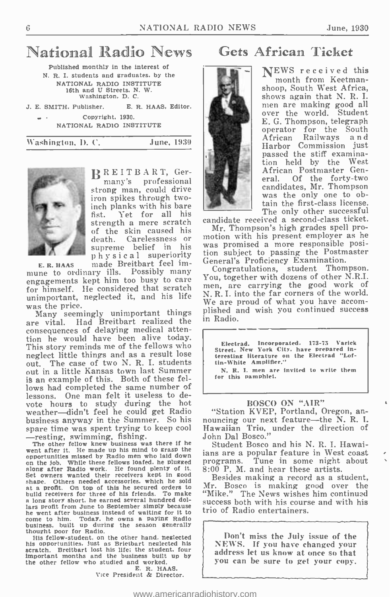## National Radio News

Published monthly in the interest of N. R. I. students and graduates, by the NATIONAL RADIO INSTITUTE 16th and U Streets, N. W.<br>Washington, D. C.

J. E. SMITH. Publisher. E. R. HAAS, Editor. Copyright, 1930.

NATIONAL RADIO INSTITUTE

1Vashington, I). C. June, 1930



BREITBART, Germany's professional strong man, could drive<br>iron spikes through twoinch planks with his bare fist. Yet for all his strength a mere scratch can supreme belief in his ph y s i c a l superiority

E. R. HAAS made Breitbart feel im- mune to ordinary ills. Possibly many engagements kept him too busy to care for himself. He considered that scratch unimportant, neglected it, and his life was the price.

are vital. Had Breitbart realized the consequences of delaying medical attention he would have been alive today. This story reminds me of the fellows who neglect little things and as a result lose out. The case of two N. R. I. students out in a little Kansas town last Summer is an example of this. Both of these fellows had completed the same number of lessons. One man felt it useless to devote hours to study during the hot weather—didn't feel he could get Radio <br>husiness anyway in the Summer. So his nouncing our next feature—the N.R.I. business anyway in the Summer. So his spare time was spent trying to keep cool

-resting, swimming, fishing.<br>The other fellow knew business was there if he<br>went after it. He made up his mind to grasp the<br>opportunities missed by Radio men who laid down concountilies missed by Radio men who laid down<br>on the job. While these fellows loafed. he plugged<br>along after Radio work. He found plenty of it.<br>Set owners wanted their receivers kept in good<br>shape. Others needed accesso at a profit. On top of this he secured orders to build receivers for three of his friends. To make a long story short. he earned several hundred dola long story short, he earned several hundred dol-<br>lars profit from June to September simply because<br>he went after business instead of waiting for it to trio of Radio entertainers. he went after business instead of waiting for it to come to him. Today. he owns a paying Radio business, built up during the season generally thought poor for Radio.

His fellow-student, on the other hand. neglected his opportunities. Just as Brietbart neglected his proportunities.<br>Brieth as Breitbart lost his life; the student, four important months and the business built up by the other fellow who studied and worked. E. R. HAAS.

Vice President & Director.

### Gets African Ticket

NEWS received this month from Keetmanshoop, South West Africa, shows again that N. R. I. men are making good all over the world. Student E. G. Thompson, telegraph operator for the South African Railways a n d Harbor Commission just passed the stiff examination held by the West African Postmaster General. Of the forty-two<br>candidates, Mr. Thompson candidates, Mr. Thompson was the only one to obtain the first-class license. The only other successful

candidate received a second -class ticket.

of the skin caused his Mr. Thompson's nightgrades spell pro-<br>death. Carelessness or motion with his present employer as he Mr. Thompson's high grades spell prowas promised a more responsible position subject to passing the Postmaster General's Proficiency Examination.

as the price.<br>Many seemingly unimportant things plished and wish you continued success Congratulations, student Thompson. You, together with dozens of other N.A.I. men, are carrying the good work of N. R. I. into the far corners of the world. We are proud of what you have accomin Radio.

> Electrad. Incorporated. 173-75 Varick<br>Street. New York City. have prepared interesting literature on the Electrad "Loftin -White Amplifier."

N. R. I. men are invited to write them for this pamphlet.

#### BOSCO ON "AIR"

"Station KVEP, Portland, Oregon, an-Hawaiian Trio, under the direction of John Dal Bosco."

Student Bosco and his N. R. I. Hawaiians are a popular feature in West coast programs. Tune in some night about 8:00 P. M. and hear these artists.

Besides making a record as a student, Mr. Bosco is making good over the "Mike." The News wishes him continued trio of Radio entertainers.

Don't miss the July issue of the<br>NEWS. If you have changed your address let us know at once so that you can be sure to get your copy.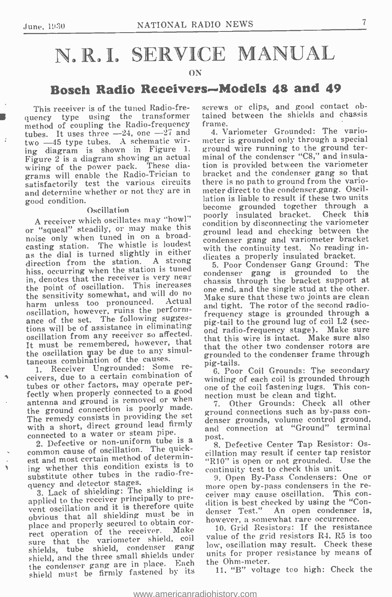## N.R.I. SERVICE MANUAL

#### ON

### Bosch Radio Receivers-Models 48 and 49

This receiver is of the tuned Radio-frequency type using the transformer method of coupling the Radio-frequency tubes. It uses three  $-24$ , one  $-27$  and two -45 type tubes. A schematic wiring diagram is shown in Figure 1. Figure  $2$  is a diagram showing an actual wiring of the power pack. These diagrams will enable the Radio-Trician to satisfactorily test the various circuits and determine whether or not they are in good condition.

Oscillation<br>A receiver which oscillates may "howl" or "squeal" steadily, or may make this noise only when tuned in on a broadcasting station. The whistle is loudest contained to the wide as the dial is turned slightly in either direction from the station. A strong hiss, occurring when the station is tuned in, denotes that the receiver is very near condition  $\frac{1}{2}$  and  $\frac{1}{2}$  is grounded to the point at the point of oscillation. This increases chassis through the bracket support at the point of oscillation. This increases  $\frac{\text{cm}}{\text{cm}}$ the sensitivity somewhat, and will do no<br>harm unless too pronounced. Actual Ma harm unless too pronounced. Actual oscillation, however, ruins the perform-<br>ance of the set. The following suggesance of the set. The following suggest pig-tail to the ground lug of coil  $L2$  (sections will be of assistance in eliminating and radio-frequency stage). Make summa oscillation from any receiver so affected. It must be remembered, however, that the oscillation may be due to any simultaneous combination of the causes.

1. Receiver Ungrounded: Some receivers, due to a certain combination of which contract the secondary tubes or other factors, may operate perfectly when properly connected to a good one of the contrastening fugs. I antenna and ground is removed or when the ground connection is poorly made.<br>The remedy consists in providing the set ground connections such as by-pass con-<br>The remedy consists in providing the set grounds, volume control ground, The remedy consists in providing the set with a short, direct ground lead firmly

connected to a water or steam pipe.<br>2. Defective or non-uniform tube is a common cause of oscillation. The quickest and most certain method of determining whether this condition exists is to the interest the continuity test to check this unit.<br>substitute other tubes in the radio-fre-<br> $\frac{0.00 \text{ p}}{2}$ , Open By-Pass Condensers: One or substitute other tubes in the radio-frequency and detector stages.

applied to the receiver principally to prevent oscillation and it is therefore quite obvious that all shielding must be in<br>place and properly secured to obtain corplace and properly secured to obtain cor-<br>rect operation of the receiver. Make 10. Grid Resistors: If the resistance sure that the variometer shield, coil shields, tube shield, condenser gang shield, and the three small shields under the condenser gang are in place. Each shield must be firmly fastened by its

screws or clips, and good contact obtained between the shields and chassis frame.

4. Variometer Grounded: The variometer is grounded only through a special ground wire running to the ground terminal of the condenser "C8," and insulation is provided between the variometer bracket and the condenser gang so that there is no path to ground from the variometer direct to the condenser.gang. Oscillation is liable to result if these two units become grounded together through a poorly insulated bracket. Check this condition by disconnecting the variometer ground lead and checking between the condenser gang and variometer bracket with the continuity test. No reading indicates a properly insulated bracket.

5. Poor Condenser Gang Ground: The condenser gang is grounded to the chassis through the bracket support at one end, and the single stud at the other. Make sure that these two joints are clean<br>and tight. The rotor of the second radio-The requency stage is grounded through a ond radio-frequency stage). Make sure that this wire is intact. Make sure also that the other two condenser rotors are grounded to the condenser frame through pig-tails.

6. Poor Coil Grounds: The secondary one of the coil fastening lugs. This con-

7. Other Grounds: Check all other ground connections such as by-pass conand connection at "Ground" terminal post.

8. Defective Center Tap Resistor: Oscillation may result if center tap resistor "R10" is open or not grounded. Use the continuity test to check this unit.

3. Lack of shielding: The shielding is more open by-pass condensers in the remore open by-pass condensers in the redition is best checked by using the "Condenser Test." An open condenser is, however, a somewhat rare occurrence.

value of the grid resistors R4, R5 is too low, oscillation may result. Check these units for proper resistance by means of the Ohm -meter.

11. "B" voltage too high: Check the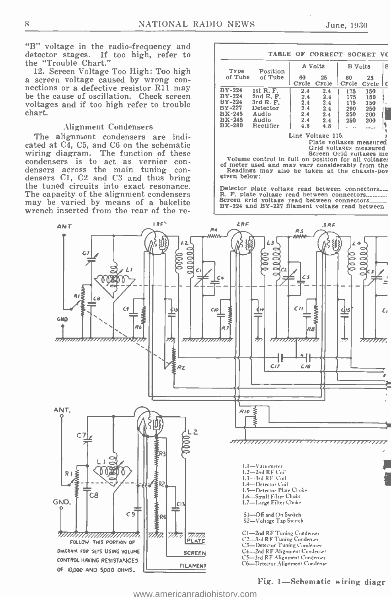"B" voltage in the radio-frequency and detector stages. If too high, refer to the "Trouble Chart."

12. Screen Voltage Too High: Too high a screen voltage caused by wrong con- nections or a defective resistor R11 may nections or a defective resistor R11 may<br>be the cause of oscillation. Check screen voltages and if too high refer to trouble chart.

#### Alignment Condensers

The alignment condensers are indicated at C4, C5, and C6 on the schematic wiring diagram. The function of these condensers is to act as vernier condensers across the main tuning con-<br>densers Cl, C2 and C3 and thus bring<br>the tuned circuits into exact resonance. The capacity of the alignment condensers may be varied by means of a bakelite wrench inserted from the rear of the re-

| <b>CORRECT SOCKET VO</b><br><b>TABLE OF</b> |           |         |       |                |               |   |  |  |  |  |  |
|---------------------------------------------|-----------|---------|-------|----------------|---------------|---|--|--|--|--|--|
| Type                                        | Position  | A Volts |       | <b>B</b> Volts |               | 8 |  |  |  |  |  |
| of Tube                                     | of Tube   | 60      | 25    | 60             | 25            |   |  |  |  |  |  |
|                                             |           | Cycle   | Cycle | Cycle          | Cycle         |   |  |  |  |  |  |
| <b>BY-224</b>                               | 1st R. F. | 2.4     | 2.4   | 175            | 150           |   |  |  |  |  |  |
| $BY-224$                                    | 2nd R. F. | 2.4     | 2.4   | 175            | 150           |   |  |  |  |  |  |
| <b>BY-224</b>                               | 3rd R. F. | 2.4     | 2.4   | 175            | 150           |   |  |  |  |  |  |
| <b>BY-227</b>                               | Detector  | 2.4     | 2.4   | 290            | 250           |   |  |  |  |  |  |
| $BX-245$                                    | Audio     | 2.4     | 2.4   | 250            | 200           |   |  |  |  |  |  |
| $BX-245$                                    | Audio     | 2.4     | 2.4   | 250            | 200           |   |  |  |  |  |  |
| <b>BX-280</b>                               | Rectifier | 4.8     | 4.8   |                | <b>******</b> |   |  |  |  |  |  |

Line Voltage 115.<br>Plate voltages measured<br>Grid voltages measured

Screen Grid voltages me Volume control in full on position for all voltage:<br>of meter used and may vary considerably from the<br>Readings may also be taken at the chassis-pon<br>Readings may also be taken at the chassis-pon<br>Readi

Detector plate voltage read between connectors. R. F. plate voltage read between connectors\_..\_....\_\_. Screen grid voltage read between connectors\_\_\_\_\_ BY -224 and BY -227 filament voltage read between

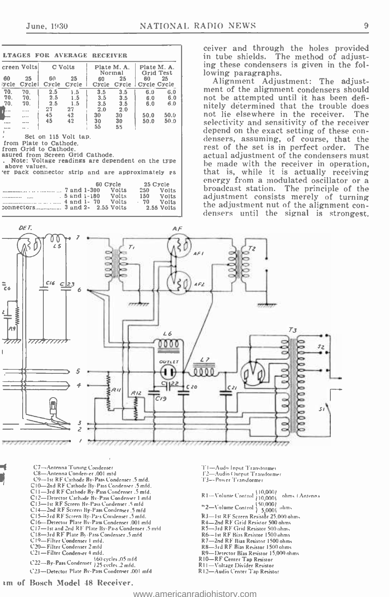|                        |                 |                                                                         |             | <b>LTAGES FOR AVERAGE RECEIVER</b>                                                     |                       |                   |                         |
|------------------------|-----------------|-------------------------------------------------------------------------|-------------|----------------------------------------------------------------------------------------|-----------------------|-------------------|-------------------------|
| creen Volts<br>C Volts |                 | Plate M. A.<br>Normal                                                   |             | Plate M. A.<br>Grid Test                                                               |                       |                   |                         |
| 60<br>:ycle            | - 25<br>Cyclei  | 60<br>Cycle                                                             | 25<br>Cycle | 60                                                                                     | 25<br>Cycle Cycle     | 60<br>Cycle Cycle | 25                      |
| 70.<br>70.             | 70.<br>70.      | 2.5<br>2.5                                                              | 1.5<br>1.5  | 3.5<br>$3.5$ $3.5$                                                                     | 3.5                   | 6.0               | 6.0<br>$6.0\qquad 6.0$  |
| 70.<br>₹…              | 70.<br>$\cdots$ | 2.5<br>27<br>45 42                                                      | 1.5<br>27   | $3.5$ $3.5$<br>30 <sub>o</sub>                                                         | $2.0\qquad 2.0$<br>30 | 50.0              | $6.0\qquad 6.0$<br>50.0 |
|                        | $\cdots$<br>.   | 45 42                                                                   |             | 30 30<br>55                                                                            | 55                    | 50.0              | 50.0                    |
|                        | above values.   | Set on 115 Volt tap.<br>from Plate to Cathode.<br>from Grid to Cathode. |             | asured from Screen Grid Cathode.<br>. Note: Voltage readings are dependent on the type |                       |                   |                         |
|                        |                 |                                                                         |             | 'er pack connector strip and are approximately as                                      | 60 Cycle 25 Cycle     |                   |                         |
|                        |                 |                                                                         |             |                                                                                        | Volts                 | 150<br>- 70       | Volts<br>Volts<br>Volts |

ceiver and through the holes provided<br>in tube shields. The method of adjust-<br>ing these condensers is given in the fol-<br>lowing paragraphs.

Alignment Adjustment: The adjustment of the alignment condensers should not be attempted until it has been definitely détermined that the trouble does not lie elsewhere in the receiver. selectivity and sensitivity of the receiver<br>depend on the exact setting of these condepend on the exact setting of these con- densers, assuming, of course, that the rest of the set is in perfect order. The actual adjustment of the condensers must be made with the receiver in operation, that is, while it is actually receiving energy from a modulated oscillator or a broadcast station. The principle of the adjustment consists merely of turning the adjustment nut of the alignment con-<br>densers until the signal is strongest.



C7— Antenna Tuning Condenser<br>CS— Antenna Conden-er .001 mid<br>C9 --1st RF Cathode By -Pass Condenser .5 mfd.<br>CI 0-2nd RF Cathode By -Pass Condenser .5 mfd.<br>CI 1-3rd RF Cathode By -Pass Condenser .5 mfd. C12—Detector Cathode By-Pass Condenser 1 mfd.<br>C13— Ist RF Screen By -Pass Condenser <sub>-</sub>5 mfd<br>C14—2nd RF Screen By -Pass Condenser .5 mfd<br>C15—3rd RF Screen By -Pass Condenser .5 mfd. C16—Detector Plate Riv-Pasa Condenser .001 mfd<br>C17—1st and 2nd RF Plate By-Pass Condenser .5 mfd<br>C18—3rd RF Plate By-Pass Condenser .5 mfd<br>C19—Filter Condenser 1 mfd.<br>C20—Filter Condenser 2 mfd<br>C21—Filter Condenser 4 mfd. 160 cy cles.05mid C22 -B y Pass Condenser 125 en ces 2 mid. C23- Detector Plate By -Pass Condenser .001 mfd

- 
- TI --Audo Input Transformer<br>T2--Audio Output Transformer<br>T3--Power Transformer
- 
- R1-Solume Control 10,0001 ohms (Antenna <sup>1</sup>2-Volume Control  $\left\{\begin{array}{l} 50,000\\ 50,000\\ 15,0001 \end{array}\right\}$  ohms
- 
- 
- 
- 
- 
- R4—2nd RF Grid Resistor 500 ohms<br>R5—3rd RF Grid Resistor 500 ohms<br>R6—1st RF Bias Resistor 1500 ohms<br>R7—2nd RF Bias Resistor 1500 ohms<br>R8—3rd RF Bias Resistor 1500 ohms<br>R9—Detector Bias Resistor 15,000 ohms<br>R10—RF Center Ta
- 
- 
- <sup>R</sup>1 I- Voltage Divider Resistor
- R12-Audio Center Tap Resistor

im of Bosch Model IS Receiver.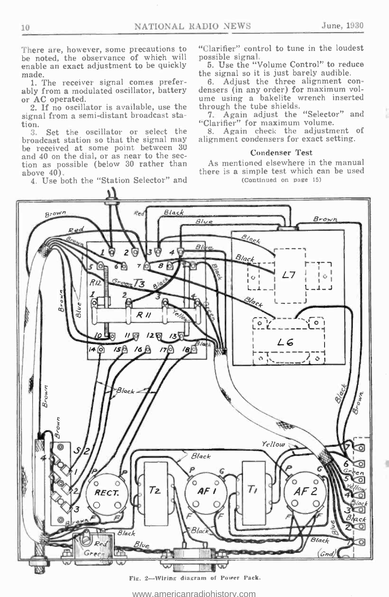There are, however, some precautions to be noted, the observance of which will enable an exact adjustment to be quickly made.

1. The receiver signal comes preferably from a modulated oscillator, battery or AC operated.

2. If no oscillator is available, use the signal from a semi-distant broadcast sta-

 $\frac{\text{tion.}}{3.}$ Set the oscillator or select the broadcast station so that the signal may be received at some point between 30 and 40 on the dial, or as near to the section as possible (below 30 rather than above 40).

4. Use both the "Station Selector" and

"Clarifier" control to tune in the loudest possible signal.

5. Use the "Volume Control" to reduce the signal so it is just barely audible.

6. Adjust the three alignment con- densers (in any order) for maximum vol- ume using a bakelite wrench inserted through the tube shields.

7. Again adjust the "Selector" and "Clarifier" for maximum volume.

8. Again check the adjustment of alignment condensers for exact setting.

#### Condenser Test

As mentioned elsewhere in the manual there is a simple test which can be used (Continued on page 15)

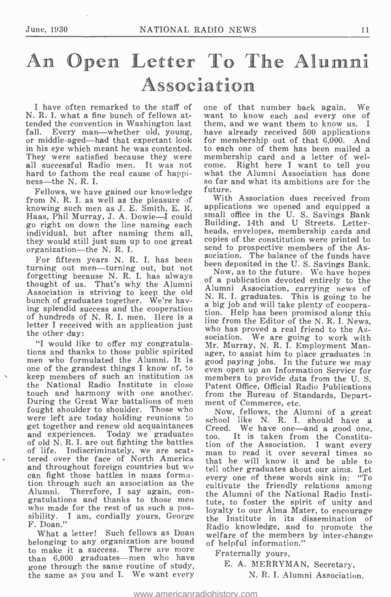## An Open Letter To The Alumni Association

I have often remarked to the staff of N. R. I. what a fine bunch of fellows attended the convention in Washington last them, and we want them to know us. I<br>fall. Every man—whether old, young, have already received 500 applications Every man-whether old, young, or middle-aged-had that expectant look in his eye which meant he was contented. to each one of them has been mailed a They were satisfied because they were membership card and a letter of wel-They were satisfied because they were member<br>all successful Radio men. It was not come. all successful Radio men. It was not come. Right here I want to tell you<br>hard to fathom the real cause of happi- what the Alumni Association has done hard to fathom the real cause of happiness—the N. R. I.<br>Fellows, we have gained our knowledge

from N. R. I. as well as the pleasure of knowing such men as J. E. Smith, E. R. Haas, Phil Murray, J. A. Dowie-I could go right on down the line naming each individual, but after naming them all, they would still just sum up to one great organization—the N. R. I.

For fifteen years N. R. I. has been turning out men—turning out, but not<br>forgetting because N. R. I. has always<br> $\frac{N \text{ow}$  as to the future. We have hopes thought of us. That's why the Alumni Association is striving to keep the old bunch of graduates together. We're having splendid success and the cooperation of hundreds of N. R. I. men. Here is a letter I received with an application just the other day:

"I would like to offer my congratula-<br>tions and thanks to those public spirited ager, to assist him to place graduates in<br>men who formulated the Alumni. It is good paying jobs. In the future we may<br>one of the grandest thin keep members of such an institution as the National Radio Institute in close Patent Office, Official Radio Publications touch and harmony with one another. from the Bureau of St<br>During the Great War battalions of men ment of Commerce, etc. During the Great War battalions of men ment of Commerce, etc.<br>fought shoulder to shoulder. Those who Now, fellows, the Alumni of a great were left are today holding reunions to show, the studies of a great get together and renew old acquaintances creed We have one-and a good one get together and renew old acquaintances  $C_{\text{re}}$ <br>and experiences. Today we graduates  $C_{\text{OO}}$ of old N. R. I. are out fighting the battles  $\frac{100}{100}$ of life. Indiscriminately, we are scatof life. Indiscriminately, we are scat-<br>tered over the face of North America that he will know it and be able to and throughout foreign countries but we can fight those battles in mass formation through such an association as the gratulations and thanks to those men who made for the rest of us such a possibility. I am, cordially yours, George F. Doan."

What a letter! Such fellows as Doan<br>longing to any organization are bound of helpful information." belonging to any organization are bound to make it a success. There are more<br>than 6,000 graduates—men who have gone through the same routine of study, the same as you and I. We want every

one of that number back again. We want to know each and every one of them, and we want them to know us. I for membership out of that  $6,000$ . And to each one of them has been mailed a<br>membership card and a letter of wel-<br>come. Right here I want to tell you<br>what the Alumni Association has done<br>so far and what its ambitions are for the future.

With Association dues received from applications we opened and equipped a small office in the U. S. Savings Bank Building, 14th and U Streets. Letterheads, envelopes, membership cards and copies of the constitution were printed to send to prospective members of the Association. The balance of the funds have been deposited in the U. S. Savings Bank.

of a publication devoted entirely to the Alumni Association, carrying news of N. R. I. graduates. This is going to be a big job and will take plenty of coopera- tion. Help has been promised along this line from the Editor of the N. R. I. News, who has proved a real friend to the Association. We are going to work with Mr. Murray, N. R. I. Employment Manager, to assist him to place graduates in good paying jobs. In the future we may even open up an Information Service for members to provide data from the U.S. from the Bureau of Standards, Depart-

Creed. We have one—and a good one, too. It is taken from the Constitu-It is taken from the Constitution of the Association. I want every tell other graduates about our aims. Let every one of these words sink in: "To cultivate the friendly relations among the Alumni of the National Radio Institute, to foster the spirit of unity and loyalty to our Alma Mater, to encourage the Institute in its dissemination of Radio knowledge, and to promote the welfare of the members by inter-change

Fraternally yours,

E. A. MERRYMAN, Secretary,

N. R. I. Alumni Association.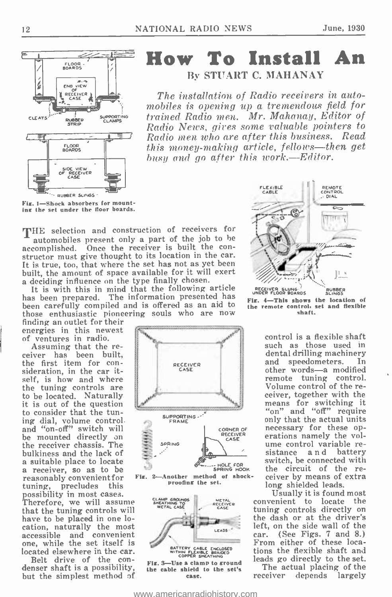

## How To Install An By STUART C. MAHANAY

 $\sum_{\text{SAGE}}$   $\sum_{\text{SAGE}}$  The installation of Radio receivers in automobiles is opening up a tremendous field for trained Radio men. Mr. Mahanay, Editor of Radio News, gives some valuable pointers to Radio men who are after this business. Read this money-making article, fellows-then get busy and go after this work.—Editor.

Fig. 1-Shock absorbers for mounting the set under the floor boards.

THE selection and construction of receivers for automobiles present only a part of the job to be accomplished. Once the receiver is built the constructor must give thought to its location in the car. It is true, too, that where the set has not as yet been built, the amount of space available for it will exert a deciding influence on the type finally chosen.

It is with this in mind that the following article has been prepared. The information presented has been carefully compiled and is offered as an aid to those enthusiastic pioneering souls who are now finding an outlet for their

energies in this newest of ventures in radio.

Assuming that the re- ceiver has been built, the first item for con- sideration, in the car itself, is how and where the tuning controls are to be located. Naturally it is out of the question to consider that the tuning dial, volume control. and "on-off" switch will<br>be mounted directly on the receiver chassis. The bulkiness and the lack of a suitable place to locate a receiver, so as to be reasonably convenient for<br>tuning, precludes this precludes possibility in most cases. Therefore, we will assume that the tuning controls will have to be placed in one location, naturally the most accessible and convenient one, while the set itself is located elsewhere in the car.

denser shaft is a possibility,<br>but the simplest method of







RECEIVER SLUNG RUBBER UNDER FLOOR BOARDS SLINGS Fig. 4-This shows the location of the remote control, set and flexible 'haft.

control is a flexible shaft such as those used in dental drilling machinery and speedometers. In other words-a modified remote tuning control. Volume control of the receiver, together with the means for switching it "on" and "off" require only that the actual units<br>necessary for these operations namely the vol-<br>ume control variable re-<br>sistance and battery switch, be connected with the circuit of the receiver by means of extra long shielded leads.

Usually it is found most convenient to locate the tuning controls directly on the dash or at the driver's the dash or at the driver's<br>left, on the side wall of the<br>car. (See Figs, 7 and 8.) (See Figs.  $7$  and  $8$ .) From either of these locations the flexible shaft and leads go directly to the set.

The actual placing of the<br>receiver depends largely depends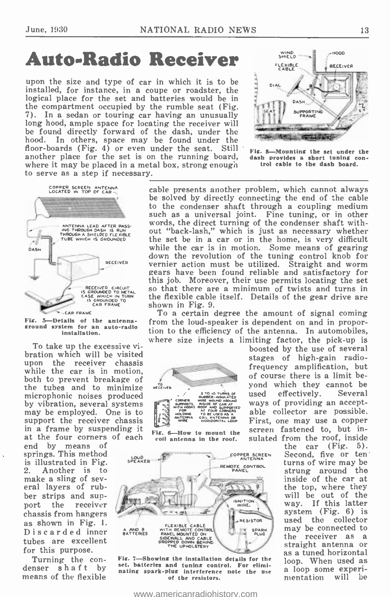## Auto-Radio Receiver

upon the size and type of car in which it is to be installed, for instance, in a coupe or roadster, the logical place for the set and batteries would be in the compartment occupied by the rumble seat (Fig. 7). In a sedan or touring car having an unusually long hood, ample space for locating the receiver will be found directly forward of the dash, under the hood. In others, space may be found under the In others, space may be found under the floor-boards (Fig. 4) or even under the seat. Still Fig. 8another place for the set is on the running board, dash provides a short tuning where it may be placed in a metal box, strong enough trol cable to the dash board. to serve as a step if necessary.





Fig. 5-Details of the antenna - ground system for an auto -radio Installation.

To take up the excessive vibration which will be visited upon the receiver chassis while the car is in motion, both to prevent breakage of the tubes and to minimize microphonic noises produced by vibration, several systems may be employed. One is to support the receiver chassis in a frame by suspending it

end by means of springs. This method  $\sum_{n=1}^{\infty}$  illustrated in Fig.  $\sum_{n=1}^{\infty}$  speaker Another is to make a sling of sev-<br>eral layers of rubber strips and support the receiver chassis from hangers as shown in Fig. 1.<br>Discarded inner saffeares Discarded inner tubes are excellent for this purpose.

Turning the con- denser shaft by means of the flexible

at the four corners of each ris. - now to mount the FOR AT FOUR CORNERS<br>HOLDING TO RE USED AS A<br>ANTENNA COIL ANTENNA OR<br>WIRE HORIZONTAL LOOP Fig. 6-How to mount the

S TO 10 TUR

**RECEIVE** 

boosted by the use of several stages of high-gain radio-<br>frequency amplification, but of course there is a limit beyond which they cannot be<br>used effectively. Several used effectively. ways of providing an acceptable collector are possible. First, one may use a copper screen fastened to, but insulated from the roof, inside<br>the car (Fig. 5). ACT RUBBER-HISULATED USES



Fig. 7-Showing the installation details for the set, batteries and tuning control. For eliminating spark -plug interference note the use of the resistors.



-Mounting the set under the dash provides a short tuning con-

cable presents another problem, which cannot always be solved by directly connecting the end of the cable to the condenser shaft through a coupling medium such as a universal joint. Fine tuning, or in other words, the direct turning of the condenser shaft without "back-lash," which is just as necessary whether the set be in a car or in the home, is very difficult while the car is in motion. Some means of gearing down the revolution of the tuning control knob for vernier action must be utilized. Straight and worm gears have been found reliable and satisfactory for so that there are a minimum of twists and turns in the flexible cable itself. Details of the gear drive are shown in Fig. 9.

To a certain degree the amount of signal coming from the loud- speaker is dependent on and in proportion to the efficiency of the antenna. In automobiles, where size injects a limiting factor, the pick-up is

> $(Fig. 5)$ . Second, five or ten turns of wire may be strung around the inside of the car at the top, where they will be out of the<br>way. If this latter If this latter system (Fig. 6) is<br>used the collector used the collector may be connected to<br>the receiver as a straight antenna or<br>as a tuned horizontal loop. When used as<br>a loop some experi-<br>mentation will be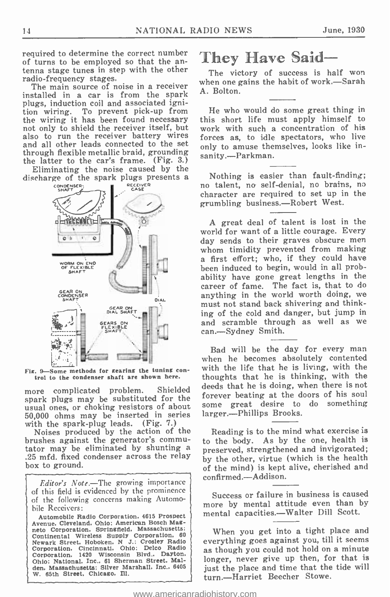required to determine the correct number of turns to be employed so that the antenna stage tunes in step with the other The victory of success is half won radio-frequency stages.

The main source of noise in a receiver installed in a car is from the spark plugs, induction coil and associated ignition wiring. To prevent pick -up from the wiring it has been found necessary this not only to shield the receiver itself, but also to run the receiver battery wires and all other leads connected to the set<br>through flexible metallic braid, grounding the latter to the car's frame. (Fig. 3.)

Eliminating the noise caused by the discharge of the spark plugs presents a



Fig. 9-Some methods for gearing the tuning control to the condenser shaft are shown here.

more complicated problem. Shielded spark plugs may be substituted for the store of electric process of the source of a something usual ones, or choking resistors of about 50,000 ohms may be inserted in series with the spark-plug leads. (Fig. 7.)

Noises produced by the action of the<br>brushes against the generator's commutator may be eliminated by shunting a .25 mfd. fixed condenser across the relay box to ground.

Editor's Note.-The growing importance of this field is evidenced by the prominence of the following concerns making Automobile Receivers:

Automobile Radio Corporation, 4615 Prospect Avenue. Cleveland, Ohio; American Bosch Mag- neto Corporation. Springfield, Massachusetts; Continental Wireless Supply Corporation, 60<br>
Newark Street. Hoboken. N J.: Crosley Radio<br>
Corporation. Cincinnati. Ohio: Delco Radio Corporation. 1420 Wisconsin Blvd.. Dayton. Ohio; National. Inc., 61 Sherman Street, Malden. Massachusetts; Silver Marshall. Inc.. 6405<br>W. 65th Street, Chicago. Ill.

## They Have Said-

when one gains the habit of work. -Sarah A. Bolton.

He who would do some great thing in this short life must apply himself to work with such a concentration of his forces as, to idle spectators, who live only to amuse themselves, looks like insanity.--Parkman.

Nothing is easier than fault-finding;<br>no talent, no self-denial, no brains, no character are required to set up in the grumbling business.-Robert West.

A great deal of talent is lost in the world for want of a little courage. Every day sends to their graves obscure men whom timidity prevented from making a first effort; who, if they could have been induced to begin, would in all probability have gone great lengths in the career of fame. The fact is, that to do anything in the world worth doing, we must not stand back shivering and thinking of the cold and danger, but jump in and scramble through as well as we can.--Sydney Smith.

Bad will be the day for every man when he becomes absolutely contented with the life that he is living, with the thoughts that he is thinking, with the deeds that he is doing, when there is not forever beating at the doors of his soul larger.---Phillips Brooks.

Reading is to the mind what exercise is to the body. As by the one, health is preserved, strengthened and invigorated; by the other, virtue (which is the health of the mind) is kept alive, cherished and confirmed.-Addison.

Success or failure in business is caused more by mental attitude even than by mental capacities.—Walter Dill Scott.

When you get into a tight place and everything goes against you, till it seems as though you could not hold on a minute longer, never give up then, for that is just the place and time that the tide will turn.-Harriet Beecher Stowe.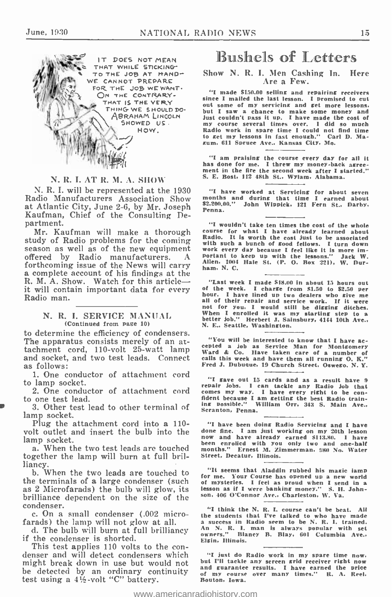

#### N. R. I. AT R. M. A. SHOW

N. R. I. will be represented at the 1930 Radio Manufacturers Association Show at Atlantic City, June 2 -6, by Mr. Joseph Kaufman, Chief of the Consulting Department.

Mr. Kaufman will make a thorough sourse for what I have already learned about study of Radio problems for the coming with such a bunch of sood fellows. I turn down season as well as of the new equipment work every day beca forthcoming issue of the News will carry a complete account of his findings at the R. M. A. Show. Watch for this article  $\longrightarrow$  "Last week I made \$18.00 in about 15 hours out it will contain important data for every of the week. I charge from \$1.50 to \$2.50 per it will contain important data for every Radio man.<br>N. R. I. SERVICE MANUAL.

## (Continued from page 10)

(Continued from page 10)  $N$ . E., Seattle, Washington.<br>to determine the efficiency of condensers.<br>The apparatus consists merely of an at- "You will be interested to know that I have ac-The apparatus consists merely of an attachment cord, 110 -volt 25 -watt lamp and socket, and two test leads. Connect as follows:

1. One conductor of attachment cord<br>lown socket to lamp socket.

to one test lead.

3. Other test lead to other terminal of  $\frac{1}{n}$  seconds. Pennal lamp socket.

Plug the attachment cord into a 110-<br>volt outlet and insert the bulb into the<br>lamp socket.

a. When the two test leads are touched together the lamp will burn at full brilliancy.

the terminals of a large condenser (such as 2 Microfarads) the bulb will glow, its brilliance dependent on the size of the condenser.<br>c. On a small condenser (.002 micro-

farads) the lamp will not glow at all.

d. The bulb will burn at full brilliancy if the condenser is shorted.

This test applies 110 volts to the con-<br>denser and will detect condensers which "I just do Radio work in my spare time now,<br>might broak down in use but would not but I'll tackle any screen grid receiver right now might break down in use but would not but I'll tackle any screen srid receiver risht now be detected by an ordinary continuity test using a 4% -volt "C" battery.

## Bushels of Letters

#### Show N. R. I. Men Cashing In. Here Are a Few.

"I made \$150.00 selling and repairing receivers since I mailed the last lesson. I promised to cut out some of my servicing and get more lessons. but I saw a chance to make some money and just couldn't pass it up. I have made the cost of my course several times over. I did so much Radio work in spare time I could not find time to get my lessons In fast enough." Carl D. Magum. 611 Spruce Ave.. Kansas City. Mo.

"I am praising the course every day for all it has done for me. I threw my money -back agreement in the fire the second week after I started." S. E. Bost, 112 48th St., Wylam. Alabama.

"I have worked at Servicing for about seven months and during that time I earned about \$2.200.00." John Wippick. 121 Fern St.. Darby, Penna.

"I wouldn't take ten times the cost of the whole course for what I have already learned about Radio. It is worth the cost just to be associated work every day because I feel like It is more im-portant to keep up with the lessons." Jack W. Allen. 1004 Hale St. (P. O. Box 221). W. Dur-ham. N. C.

"Last week I made 848.00 in about 15 hours out of the week. I charge from 81.50 to \$2.50 per hour. I have lined up two dealers who give me all of their repair and service work. If it were not for you. I would still be digging ditches. When I enrolled it was my starting step to a<br>When I enrolled it was my starting step to a<br>better job." Herbert J. Sainsbury, 4144 10th Ave..<br>N. E., Seattle, Washington.

cepted a job as Service Man for Montgomery Ward & Co. Have taken care of a number of calls this week and have them all running O. K." Fred J. Dubuque. 19 Church Street, Oswego. N. Y.

iamp socket.<br>2. One conductor of attachment cord comes my way. I have every right to be con-"I gave out 15 cards and as a result have 9 repair jobs. I can tackle any Radio job that comes my way. I have every right to be con- fident because I am getting the best Radio training possible." William Orr. 343 S. Main Ave., Scranton, Penna.

> "I have been doing Radio Servicing and I have done fine. I am just working on my 20th lesson<br>now and have already earned \$113.80. I have<br>been enrolled with you only two and one-half<br>months." Ernest M. Zimmerman, 980 No. Water months." Ernest M. Zimmerman. 980 No. Water<br>Street, Decatur. Illinois.

b. When the two leads are touched to "It seems that Aladdin rubbed his maxic jamp for me. Your Course has opened up a new world of mysteries. I feel as proud when I send in <sup>a</sup> lesson as If I were banking money." S. H. John- son. 406 O'Connor Ave., Charleston, W. Va.

> "I think the N. R. I. course can't be beat. All the students that I've talked to who have made a success in Radio seem to be N. R. I. trained. An N. R. I. man is always popular with set owners." Blaney B. may. 601 Columbia Ave.. Elgin. Illinois.

"I just do Radio work in my spare time now. but I'll tackle any screen grid receiver right now and guarantee results. I have earned the price of my course over many times." R. A. Reel. Houton. Iowa.